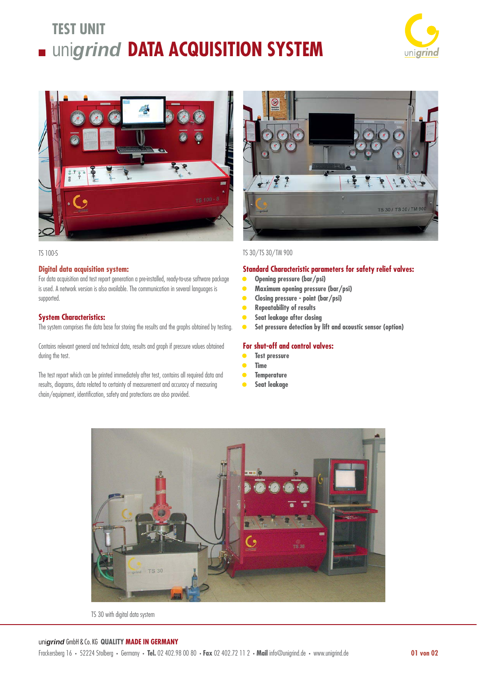# **TEST UNIT** uni*grind* **DATA ACQUISITION SYSTEM**





#### TS 100-S

### **Digital data acquisition system:**

For data acquisition and test report generation a pre-installed, ready-to-use software package is used. A network version is also available. The communication in several languages is supported.

## **System Characteristics:**

The system comprises the data base for storing the results and the graphs obtained by testing.

Contains relevant general and technical data, results and graph if pressure values obtained during the test.

The test report which can be printed immediately after test, contains all required data and results, diagrams, data related to certainty of measurement and accuracy of measuring chain/equipment, identification, safety and protections are also provided.



# TS 30/TS 30/TM 900

#### **Standard Characteristic parameters for safety relief valves:**

- **• Opening pressure (bar/psi)**
- **• Maximum opening pressure (bar/psi)**
- **• Closing pressure point (bar/psi)**
- **• Repeatability of results**
- **• Seat leakage after closing**
- **• Set pressure detection by lift and acoustic sensor (option)**

### **For shut-off and control valves:**

- **• Test pressure**
- **• Time**
- **• Temperature**
- **• Seat leakage**



TS 30 with digital data system